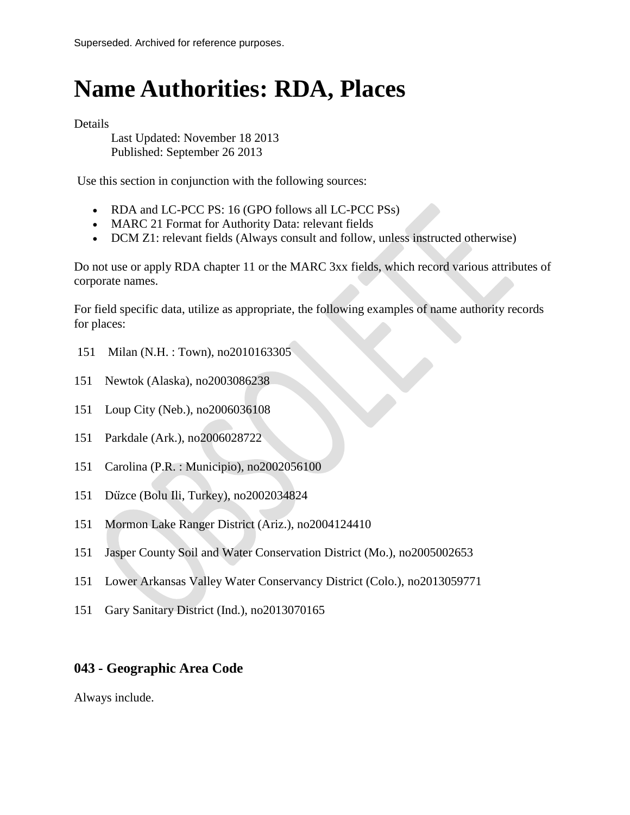# **Name Authorities: RDA, Places**

Details

Last Updated: November 18 2013 Published: September 26 2013

Use this section in conjunction with the following sources:

- RDA and LC-PCC PS: 16 (GPO follows all LC-PCC PSs)
- MARC 21 Format for Authority Data: relevant fields
- DCM Z1: relevant fields (Always consult and follow, unless instructed otherwise)

Do not use or apply RDA chapter 11 or the MARC 3xx fields, which record various attributes of corporate names.

For field specific data, utilize as appropriate, the following examples of name authority records for places:

- 151 Milan (N.H. : Town), no2010163305
- 151 Newtok (Alaska), no2003086238
- 151 Loup City (Neb.), no2006036108
- 151 Parkdale (Ark.), no2006028722
- 151 Carolina (P.R. : Municipio), no2002056100
- 151 Düzce (Bolu İli, Turkey), no2002034824
- 151 Mormon Lake Ranger District (Ariz.), no2004124410
- 151 Jasper County Soil and Water Conservation District (Mo.), no2005002653
- 151 Lower Arkansas Valley Water Conservancy District (Colo.), no2013059771
- 151 Gary Sanitary District (Ind.), no2013070165

## **043 - Geographic Area Code**

Always include.